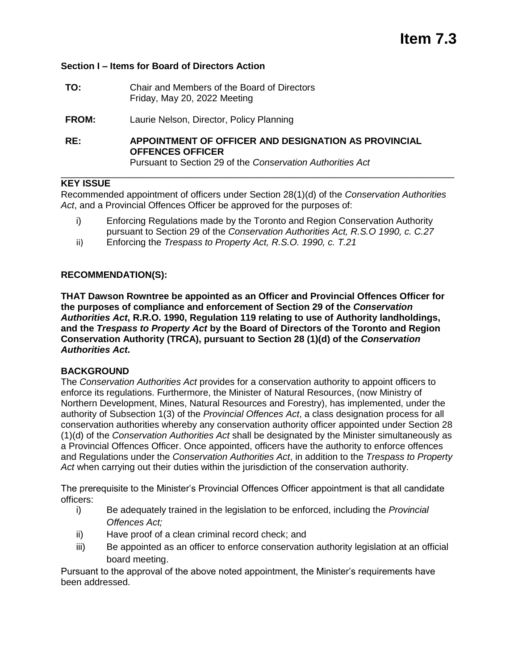# **Section I – Items for Board of Directors Action**

| TO: | Chair and Members of the Board of Directors |
|-----|---------------------------------------------|
|     | Friday, May 20, 2022 Meeting                |

**FROM:** Laurie Nelson, Director, Policy Planning

**RE: APPOINTMENT OF OFFICER AND DESIGNATION AS PROVINCIAL OFFENCES OFFICER**  Pursuant to Section 29 of the *Conservation Authorities Act*

## **KEY ISSUE**

Recommended appointment of officers under Section 28(1)(d) of the *Conservation Authorities Act*, and a Provincial Offences Officer be approved for the purposes of:

\_\_\_\_\_\_\_\_\_\_\_\_\_\_\_\_\_\_\_\_\_\_\_\_\_\_\_\_\_\_\_\_\_\_\_\_\_\_\_\_\_\_\_\_\_\_\_\_\_\_\_\_\_\_\_\_\_\_\_\_\_\_\_\_\_\_\_\_\_\_\_\_\_\_\_\_

- i) Enforcing Regulations made by the Toronto and Region Conservation Authority pursuant to Section 29 of the *Conservation Authorities Act, R.S.O 1990, c. C.27*
- ii) Enforcing the *Trespass to Property Act, R.S.O. 1990, c. T.21*

# **RECOMMENDATION(S):**

**THAT Dawson Rowntree be appointed as an Officer and Provincial Offences Officer for the purposes of compliance and enforcement of Section 29 of the** *Conservation Authorities Act***, R.R.O. 1990, Regulation 119 relating to use of Authority landholdings, and the** *Trespass to Property Act* **by the Board of Directors of the Toronto and Region Conservation Authority (TRCA), pursuant to Section 28 (1)(d) of the** *Conservation Authorities Act***.**

#### **BACKGROUND**

The *Conservation Authorities Act* provides for a conservation authority to appoint officers to enforce its regulations. Furthermore, the Minister of Natural Resources, (now Ministry of Northern Development, Mines, Natural Resources and Forestry), has implemented, under the authority of Subsection 1(3) of the *Provincial Offences Act*, a class designation process for all conservation authorities whereby any conservation authority officer appointed under Section 28 (1)(d) of the *Conservation Authorities Act* shall be designated by the Minister simultaneously as a Provincial Offences Officer. Once appointed, officers have the authority to enforce offences and Regulations under the *Conservation Authorities Act*, in addition to the *Trespass to Property Act* when carrying out their duties within the jurisdiction of the conservation authority.

The prerequisite to the Minister's Provincial Offences Officer appointment is that all candidate officers:

- i) Be adequately trained in the legislation to be enforced, including the *Provincial Offences Act;*
- ii) Have proof of a clean criminal record check; and
- iii) Be appointed as an officer to enforce conservation authority legislation at an official board meeting.

Pursuant to the approval of the above noted appointment, the Minister's requirements have been addressed.